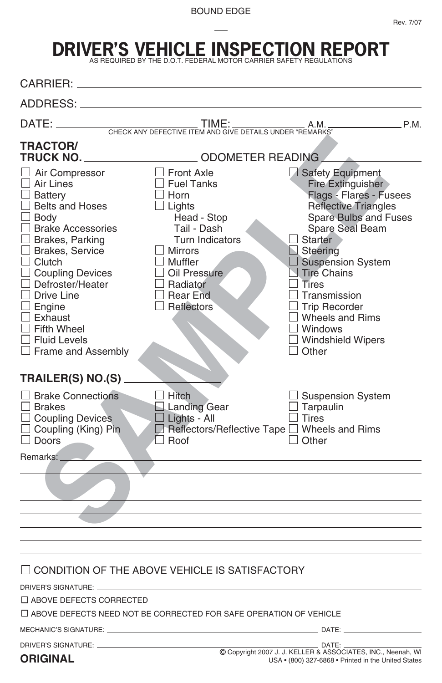Rev. 7/07

## **DRIVER'S VEHICLE INSPECTION REPORT** AS REQUIRED BY THE D.O.T. FEDERAL MOTOR CARRIER SAFETY REGULATIONS

| CARRIER:                                                                                                                                                                                                                                                                                                                            |                                                                                                                                                                                                                                |                                                                                                                                                                                                                                                                                                                                          |
|-------------------------------------------------------------------------------------------------------------------------------------------------------------------------------------------------------------------------------------------------------------------------------------------------------------------------------------|--------------------------------------------------------------------------------------------------------------------------------------------------------------------------------------------------------------------------------|------------------------------------------------------------------------------------------------------------------------------------------------------------------------------------------------------------------------------------------------------------------------------------------------------------------------------------------|
| ADDRESS:                                                                                                                                                                                                                                                                                                                            |                                                                                                                                                                                                                                |                                                                                                                                                                                                                                                                                                                                          |
|                                                                                                                                                                                                                                                                                                                                     |                                                                                                                                                                                                                                | P.M.                                                                                                                                                                                                                                                                                                                                     |
| <b>TRACTOR/</b><br>TRUCK NO.<br>Air Compressor<br>Air Lines<br><b>Battery</b><br><b>Belts and Hoses</b><br><b>Body</b><br><b>Brake Accessories</b><br>Brakes, Parking<br>J Brakes, Service<br>Clutch<br><b>Coupling Devices</b><br>Defroster/Heater<br>Drive Line<br>Engine<br>Exhaust<br><b>Fifth Wheel</b><br><b>Fluid Levels</b> | ODOMETER READING<br>$\Box$ Front Axle<br><b>Fuel Tanks</b><br>$\Box$ Horn<br>$\Box$ Lights<br>Head - Stop<br>Tail - Dash<br><b>Turn Indicators</b><br>Mirrors<br>Muffler<br>Oil Pressure<br>Radiator<br>Rear End<br>Reflectors | Safety Equipment<br><b>Fire Extinguisher</b><br>Flags - Flares - Fusees<br><b>Reflective Triangles</b><br>Spare Bulbs and Fuses<br>Spare Seal Beam<br>Starter<br>$\Box$ Steering<br><b>Suspension System</b><br>$\Box$ Tire Chains<br>Tires<br>Transmission<br><b>Trip Recorder</b><br>Wheels and Rims<br>J Windows<br>Windshield Wipers |
| Frame and Assembly<br><b>TRAILER(S) NO.(S)</b><br><b>Brake Connections</b><br><b>Brakes</b><br>Coupling Devices                                                                                                                                                                                                                     | Hitch<br>Landing Gear<br>$\Box$ Lights - All                                                                                                                                                                                   | Other<br><b>Suspension System</b><br>Tarpaulin<br><b>Tires</b>                                                                                                                                                                                                                                                                           |
| Coupling (King) Pin<br>Doors                                                                                                                                                                                                                                                                                                        | $\square$ Reflectors/Reflective Tape $\square$<br>Boof                                                                                                                                                                         | Other                                                                                                                                                                                                                                                                                                                                    |
| Remarks: _                                                                                                                                                                                                                                                                                                                          |                                                                                                                                                                                                                                |                                                                                                                                                                                                                                                                                                                                          |
| DRIVER'S SIGNATURE: ____<br>$\Box$ ABOVE DEFECTS CORRECTED                                                                                                                                                                                                                                                                          | CONDITION OF THE ABOVE VEHICLE IS SATISFACTORY<br>$\Box$ ABOVE DEFECTS NEED NOT BE CORRECTED FOR SAFE OPERATION OF VEHICLE                                                                                                     |                                                                                                                                                                                                                                                                                                                                          |
|                                                                                                                                                                                                                                                                                                                                     |                                                                                                                                                                                                                                |                                                                                                                                                                                                                                                                                                                                          |
| DRIVER'S SIGNATURE: ______________<br><b>ORIGINAL</b>                                                                                                                                                                                                                                                                               |                                                                                                                                                                                                                                | DATE:<br>C Copyright 2007 J. J. KELLER & ASSOCIATES, INC., Neenah, WI<br>USA . (800) 327-6868 . Printed in the United States                                                                                                                                                                                                             |